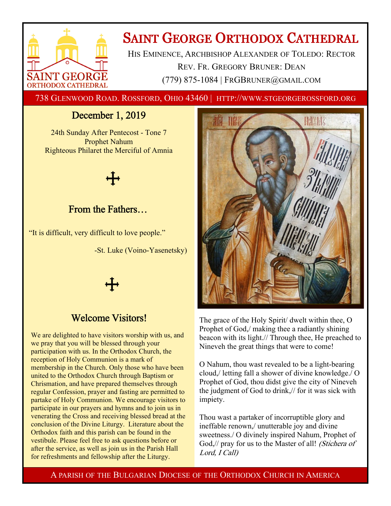

# **SAINT GEORGE ORTHODOX CATHEDRAL**

HIS EMINENCE, ARCHBISHOP ALEXANDER OF TOLEDO: RECTOR REV. FR. GREGORY BRUNER: DEAN (779) 875-1084 | FRGBRUNER@GMAIL.COM

738 GLENWOOD ROAD. ROSSFORD, OHIO 43460 | HTTP://WWW.STGEORGEROSSFORD.ORG

# December 1, 2019

24th Sunday After Pentecost - Tone 7 Prophet Nahum Righteous Philaret the Merciful of Amnia



# From the Fathers…

"It is difficult, very difficult to love people."

-St. Luke (Voino-Yasenetsky)



# Welcome Visitors!

We are delighted to have visitors worship with us, and we pray that you will be blessed through your participation with us. In the Orthodox Church, the reception of Holy Communion is a mark of membership in the Church. Only those who have been united to the Orthodox Church through Baptism or Chrismation, and have prepared themselves through regular Confession, prayer and fasting are permitted to partake of Holy Communion. We encourage visitors to participate in our prayers and hymns and to join us in venerating the Cross and receiving blessed bread at the conclusion of the Divine Liturgy. Literature about the Orthodox faith and this parish can be found in the vestibule. Please feel free to ask questions before or after the service, as well as join us in the Parish Hall for refreshments and fellowship after the Liturgy.



The grace of the Holy Spirit/ dwelt within thee, O Prophet of God,/ making thee a radiantly shining beacon with its light.// Through thee, He preached to Nineveh the great things that were to come!

O Nahum, thou wast revealed to be a light-bearing cloud,/ letting fall a shower of divine knowledge./ O Prophet of God, thou didst give the city of Nineveh the judgment of God to drink,// for it was sick with impiety.

Thou wast a partaker of incorruptible glory and ineffable renown,/ unutterable joy and divine sweetness./ O divinely inspired Nahum, Prophet of God,// pray for us to the Master of all! (Stichera of Lord, I Call)

A PARISH OF THE BULGARIAN DIOCESE OF THE ORTHODOX CHURCH IN AMERICA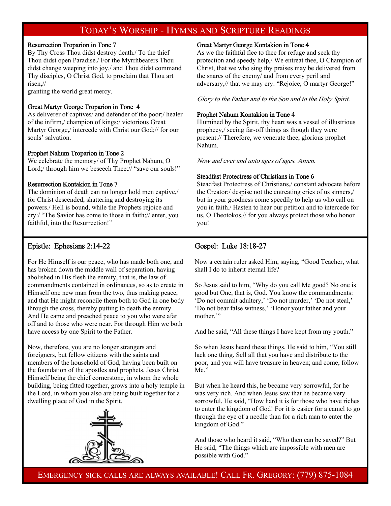# TODAY'S WORSHIP - HYMNS AND SCRIPTURE READINGS

#### Resurrection Troparion in Tone 7

By Thy Cross Thou didst destroy death./ To the thief Thou didst open Paradise./ For the Myrrhbearers Thou didst change weeping into joy,/ and Thou didst command Thy disciples, O Christ God, to proclaim that Thou art risen,//

granting the world great mercy.

#### Great Martyr George Troparion in Tone 4

As deliverer of captives/ and defender of the poor;/ healer of the infirm,/ champion of kings;/ victorious Great Martyr George,/ intercede with Christ our God;// for our souls' salvation.

#### Prophet Nahum Troparion in Tone 2

We celebrate the memory/ of Thy Prophet Nahum, O Lord;/ through him we beseech Thee:// "save our souls!"

#### Resurrection Kontakion in Tone 7

The dominion of death can no longer hold men captive,/ for Christ descended, shattering and destroying its powers./ Hell is bound, while the Prophets rejoice and cry:/ "The Savior has come to those in faith;// enter, you faithful, into the Resurrection!"

#### Great Martyr George Kontakion in Tone 4

As we the faithful flee to thee for refuge and seek thy protection and speedy help,/ We entreat thee, O Champion of Christ, that we who sing thy praises may be delivered from the snares of the enemy/ and from every peril and adversary,// that we may cry: "Rejoice, O martyr George!"

Glory to the Father and to the Son and to the Holy Spirit.

#### Prophet Nahum Kontakion in Tone 4

Illumined by the Spirit, thy heart was a vessel of illustrious prophecy,/ seeing far-off things as though they were present.// Therefore, we venerate thee, glorious prophet Nahum.

Now and ever and unto ages of ages. Amen.

#### Steadfast Protectress of Christians in Tone 6

Steadfast Protectress of Christians,/ constant advocate before the Creator;/ despise not the entreating cries of us sinners,/ but in your goodness come speedily to help us who call on you in faith./ Hasten to hear our petition and to intercede for us, O Theotokos,// for you always protect those who honor you!

### Epistle: Ephesians 2:14-22

For He Himself is our peace, who has made both one, and has broken down the middle wall of separation, having abolished in His flesh the enmity, that is, the law of commandments contained in ordinances, so as to create in Himself one new man from the two, thus making peace, and that He might reconcile them both to God in one body through the cross, thereby putting to death the enmity. And He came and preached peace to you who were afar off and to those who were near. For through Him we both have access by one Spirit to the Father.

Now, therefore, you are no longer strangers and foreigners, but fellow citizens with the saints and members of the household of God, having been built on the foundation of the apostles and prophets, Jesus Christ Himself being the chief cornerstone, in whom the whole building, being fitted together, grows into a holy temple in the Lord, in whom you also are being built together for a dwelling place of God in the Spirit.



## Gospel: Luke 18:18-27

Now a certain ruler asked Him, saying, "Good Teacher, what shall I do to inherit eternal life?

So Jesus said to him, "Why do you call Me good? No one is good but One, that is, God. You know the commandments: 'Do not commit adultery,' 'Do not murder,' 'Do not steal,' 'Do not bear false witness,' 'Honor your father and your mother."

And he said, "All these things I have kept from my youth."

So when Jesus heard these things, He said to him, "You still lack one thing. Sell all that you have and distribute to the poor, and you will have treasure in heaven; and come, follow Me."

But when he heard this, he became very sorrowful, for he was very rich. And when Jesus saw that he became very sorrowful, He said, "How hard it is for those who have riches to enter the kingdom of God! For it is easier for a camel to go through the eye of a needle than for a rich man to enter the kingdom of God."

And those who heard it said, "Who then can be saved?" But He said, "The things which are impossible with men are possible with God."

EMERGENCY SICK CALLS ARE ALWAYS AVAILABLE! CALL FR. GREGORY: (779) 875-1084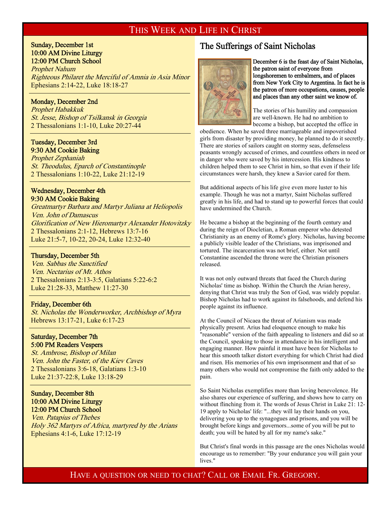# THIS WEEK AND LIFE IN CHRIST

#### Sunday, December 1st 10:00 AM Divine Liturgy 12:00 PM Church School

Prophet Nahum Righteous Philaret the Merciful of Amnia in Asia Minor Ephesians 2:14-22, Luke 18:18-27

#### Monday, December 2nd

 $\overline{a}$ 

 $\overline{a}$ 

i

 $\overline{a}$ 

Prophet Habakkuk St. Jesse, Bishop of Tsilkansk in Georgia 2 Thessalonians 1:1-10, Luke 20:27-44

#### Tuesday, December 3rd 9:30 AM Cookie Baking

Prophet Zephaniah St. Theodulus, Eparch of Constantinople 2 Thessalonians 1:10-22, Luke 21:12-19

#### Wednesday, December 4th 9:30 AM Cookie Baking

Greatmartyr Barbara and Martyr Juliana at Heliopolis Ven. John of Damascus Glorification of New Hieromartyr Alexander Hotovitzky 2 Thessalonians 2:1-12, Hebrews 13:7-16 Luke 21:5-7, 10-22, 20-24, Luke 12:32-40

#### Thursday, December 5th

Ven. Sabbas the Sanctified Ven. Nectarius of Mt. Athos 2 Thessalonians 2:13-3:5, Galatians 5:22-6:2 Luke 21:28-33, Matthew 11:27-30

#### Friday, December 6th

St. Nicholas the Wonderworker, Archbishop of Myra Hebrews 13:17-21, Luke 6:17-23

#### Saturday, December 7th 5:00 PM Readers Vespers

St. Ambrose, Bishop of Milan Ven. John the Faster, of the Kiev Caves 2 Thessalonians 3:6-18, Galatians 1:3-10 Luke 21:37-22:8, Luke 13:18-29

### Sunday, December 8th 10:00 AM Divine Liturgy 12:00 PM Church School

Ven. Patapius of Thebes Holy 362 Martyrs of Africa, martyred by the Arians Ephesians 4:1-6, Luke 17:12-19

# The Sufferings of Saint Nicholas



December 6 is the feast day of Saint Nicholas, the patron saint of everyone from longshoremen to embalmers, and of places from New York City to Argentina. In fact he is the patron of more occupations, causes, people and places than any other saint we know of.

The stories of his humility and compassion are well-known. He had no ambition to become a bishop, but accepted the office in

obedience. When he saved three marriageable and impoverished girls from disaster by providing money, he planned to do it secretly. There are stories of sailors caught on stormy seas, defenseless peasants wrongly accused of crimes, and countless others in need or in danger who were saved by his intercession. His kindness to children helped them to see Christ in him, so that even if their life circumstances were harsh, they knew a Savior cared for them.

But additional aspects of his life give even more luster to his example. Though he was not a martyr, Saint Nicholas suffered greatly in his life, and had to stand up to powerful forces that could have undermined the Church.

He became a bishop at the beginning of the fourth century and during the reign of Diocletian, a Roman emperor who detested Christianity as an enemy of Rome's glory. Nicholas, having become a publicly visible leader of the Christians, was imprisoned and tortured. The incarceration was not brief, either. Not until Constantine ascended the throne were the Christian prisoners released.

It was not only outward threats that faced the Church during Nicholas' time as bishop. Within the Church the Arian heresy, denying that Christ was truly the Son of God, was widely popular. Bishop Nicholas had to work against its falsehoods, and defend his people against its influence.

At the Council of Nicaea the threat of Arianism was made physically present. Arius had eloquence enough to make his "reasonable" version of the faith appealing to listeners and did so at the Council, speaking to those in attendance in his intelligent and engaging manner. How painful it must have been for Nicholas to hear this smooth talker distort everything for which Christ had died and risen. His memories of his own imprisonment and that of so many others who would not compromise the faith only added to the pain.

So Saint Nicholas exemplifies more than loving benevolence. He also shares our experience of suffering, and shows how to carry on without flinching from it. The words of Jesus Christ in Luke 21: 12- 19 apply to Nicholas' life: "...they will lay their hands on you, delivering you up to the synagogues and prisons, and you will be brought before kings and governors...some of you will be put to death; you will be hated by all for my name's sake."

But Christ's final words in this passage are the ones Nicholas would encourage us to remember: "By your endurance you will gain your lives."

HAVE A QUESTION OR NEED TO CHAT? CALL OR EMAIL FR. GREGORY.